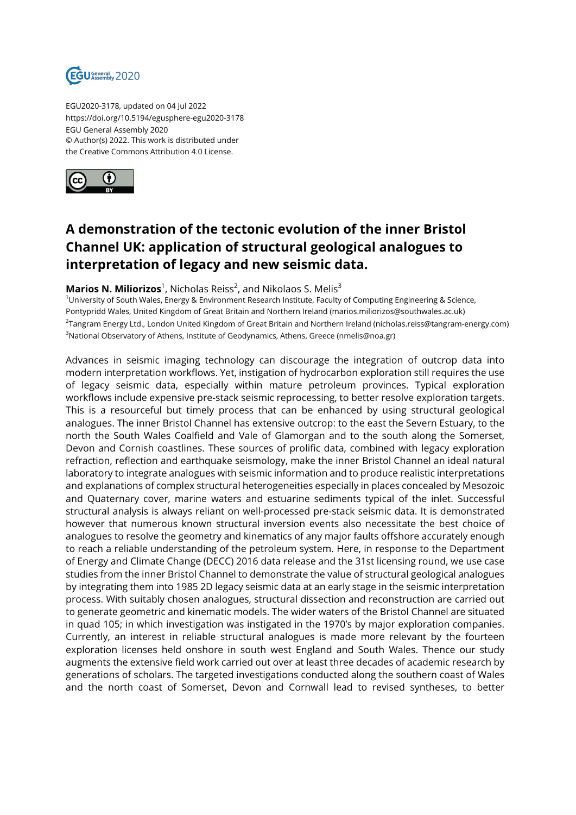

EGU2020-3178, updated on 04 Jul 2022 https://doi.org/10.5194/egusphere-egu2020-3178 EGU General Assembly 2020 © Author(s) 2022. This work is distributed under the Creative Commons Attribution 4.0 License.



## **A demonstration of the tectonic evolution of the inner Bristol Channel UK: application of structural geological analogues to interpretation of legacy and new seismic data.**

## **Marios N. Miliorizos**<sup>1</sup>, Nicholas Reiss<sup>2</sup>, and Nikolaos S. Melis<sup>3</sup>

<sup>1</sup>University of South Wales, Energy & Environment Research Institute, Faculty of Computing Engineering & Science, Pontypridd Wales, United Kingdom of Great Britain and Northern Ireland (marios.miliorizos@southwales.ac.uk) 2 Tangram Energy Ltd., London United Kingdom of Great Britain and Northern Ireland (nicholas.reiss@tangram-energy.com) <sup>3</sup>National Observatory of Athens, Institute of Geodynamics, Athens, Greece (nmelis@noa.gr)

Advances in seismic imaging technology can discourage the integration of outcrop data into modern interpretation workflows. Yet, instigation of hydrocarbon exploration still requires the use of legacy seismic data, especially within mature petroleum provinces. Typical exploration workflows include expensive pre-stack seismic reprocessing, to better resolve exploration targets. This is a resourceful but timely process that can be enhanced by using structural geological analogues. The inner Bristol Channel has extensive outcrop: to the east the Severn Estuary, to the north the South Wales Coalfield and Vale of Glamorgan and to the south along the Somerset, Devon and Cornish coastlines. These sources of prolific data, combined with legacy exploration refraction, reflection and earthquake seismology, make the inner Bristol Channel an ideal natural laboratory to integrate analogues with seismic information and to produce realistic interpretations and explanations of complex structural heterogeneities especially in places concealed by Mesozoic and Quaternary cover, marine waters and estuarine sediments typical of the inlet. Successful structural analysis is always reliant on well-processed pre-stack seismic data. It is demonstrated however that numerous known structural inversion events also necessitate the best choice of analogues to resolve the geometry and kinematics of any major faults offshore accurately enough to reach a reliable understanding of the petroleum system. Here, in response to the Department of Energy and Climate Change (DECC) 2016 data release and the 31st licensing round, we use case studies from the inner Bristol Channel to demonstrate the value of structural geological analogues by integrating them into 1985 2D legacy seismic data at an early stage in the seismic interpretation process. With suitably chosen analogues, structural dissection and reconstruction are carried out to generate geometric and kinematic models. The wider waters of the Bristol Channel are situated in quad 105; in which investigation was instigated in the 1970's by major exploration companies. Currently, an interest in reliable structural analogues is made more relevant by the fourteen exploration licenses held onshore in south west England and South Wales. Thence our study augments the extensive field work carried out over at least three decades of academic research by generations of scholars. The targeted investigations conducted along the southern coast of Wales and the north coast of Somerset, Devon and Cornwall lead to revised syntheses, to better